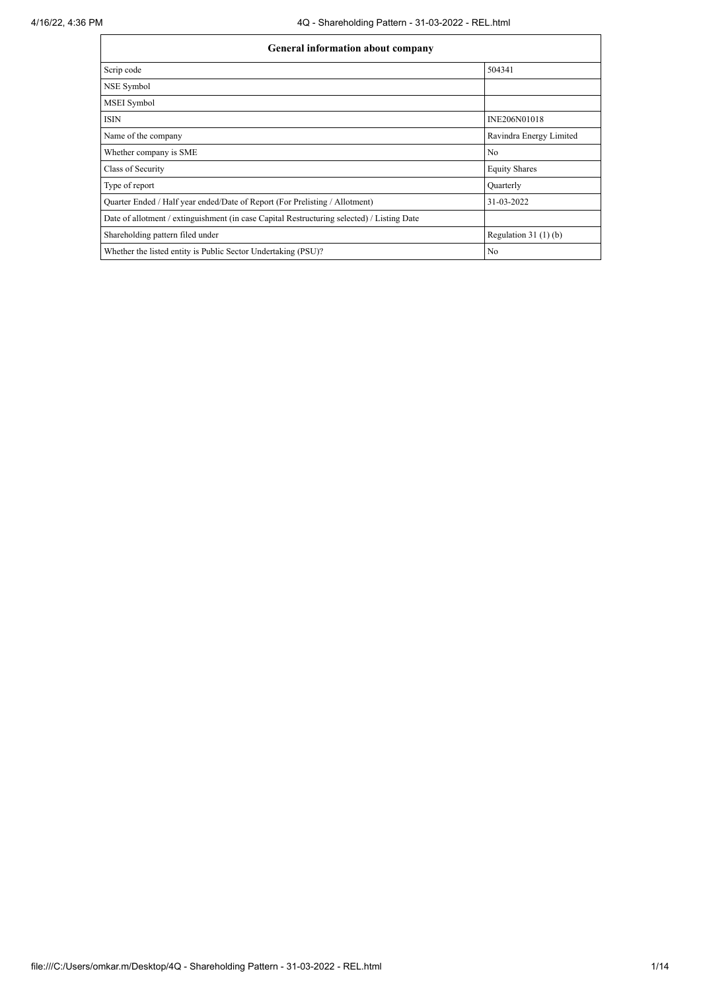| General information about company                                                          |                         |  |  |  |  |  |  |
|--------------------------------------------------------------------------------------------|-------------------------|--|--|--|--|--|--|
| Scrip code                                                                                 | 504341                  |  |  |  |  |  |  |
| NSE Symbol                                                                                 |                         |  |  |  |  |  |  |
| <b>MSEI</b> Symbol                                                                         |                         |  |  |  |  |  |  |
| <b>ISIN</b>                                                                                | INE206N01018            |  |  |  |  |  |  |
| Name of the company                                                                        | Ravindra Energy Limited |  |  |  |  |  |  |
| Whether company is SME                                                                     | No                      |  |  |  |  |  |  |
| Class of Security                                                                          | <b>Equity Shares</b>    |  |  |  |  |  |  |
| Type of report                                                                             | Quarterly               |  |  |  |  |  |  |
| Quarter Ended / Half year ended/Date of Report (For Prelisting / Allotment)                | 31-03-2022              |  |  |  |  |  |  |
| Date of allotment / extinguishment (in case Capital Restructuring selected) / Listing Date |                         |  |  |  |  |  |  |
| Shareholding pattern filed under                                                           | Regulation $31(1)(b)$   |  |  |  |  |  |  |
| Whether the listed entity is Public Sector Undertaking (PSU)?                              | No                      |  |  |  |  |  |  |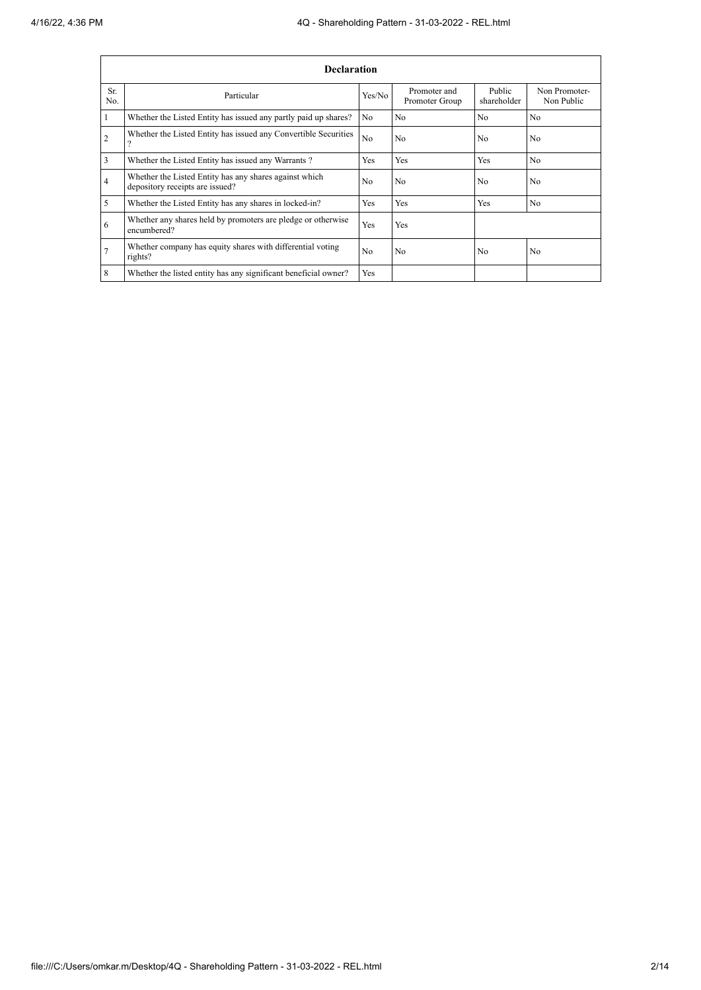|                | <b>Declaration</b>                                                                        |                |                                |                       |                             |  |  |  |  |  |  |  |
|----------------|-------------------------------------------------------------------------------------------|----------------|--------------------------------|-----------------------|-----------------------------|--|--|--|--|--|--|--|
| Sr.<br>No.     | Particular                                                                                | Yes/No         | Promoter and<br>Promoter Group | Public<br>shareholder | Non Promoter-<br>Non Public |  |  |  |  |  |  |  |
|                | Whether the Listed Entity has issued any partly paid up shares?                           | No             | N <sub>0</sub>                 | N <sub>0</sub>        | N <sub>0</sub>              |  |  |  |  |  |  |  |
| $\overline{2}$ | Whether the Listed Entity has issued any Convertible Securities                           | N <sub>0</sub> | No                             | N <sub>0</sub>        | N <sub>0</sub>              |  |  |  |  |  |  |  |
| 3              | Whether the Listed Entity has issued any Warrants?                                        | Yes            | Yes                            | Yes                   | N <sub>0</sub>              |  |  |  |  |  |  |  |
| 4              | Whether the Listed Entity has any shares against which<br>depository receipts are issued? | N <sub>0</sub> | N <sub>0</sub>                 | N <sub>0</sub>        | N <sub>0</sub>              |  |  |  |  |  |  |  |
| 5              | Whether the Listed Entity has any shares in locked-in?                                    | Yes            | Yes                            | Yes                   | N <sub>0</sub>              |  |  |  |  |  |  |  |
| 6              | Whether any shares held by promoters are pledge or otherwise<br>encumbered?               | Yes            | Yes                            |                       |                             |  |  |  |  |  |  |  |
|                | Whether company has equity shares with differential voting<br>rights?                     | N <sub>0</sub> | N <sub>0</sub>                 | N <sub>0</sub>        | N <sub>0</sub>              |  |  |  |  |  |  |  |
| $\overline{8}$ | Whether the listed entity has any significant beneficial owner?                           | Yes            |                                |                       |                             |  |  |  |  |  |  |  |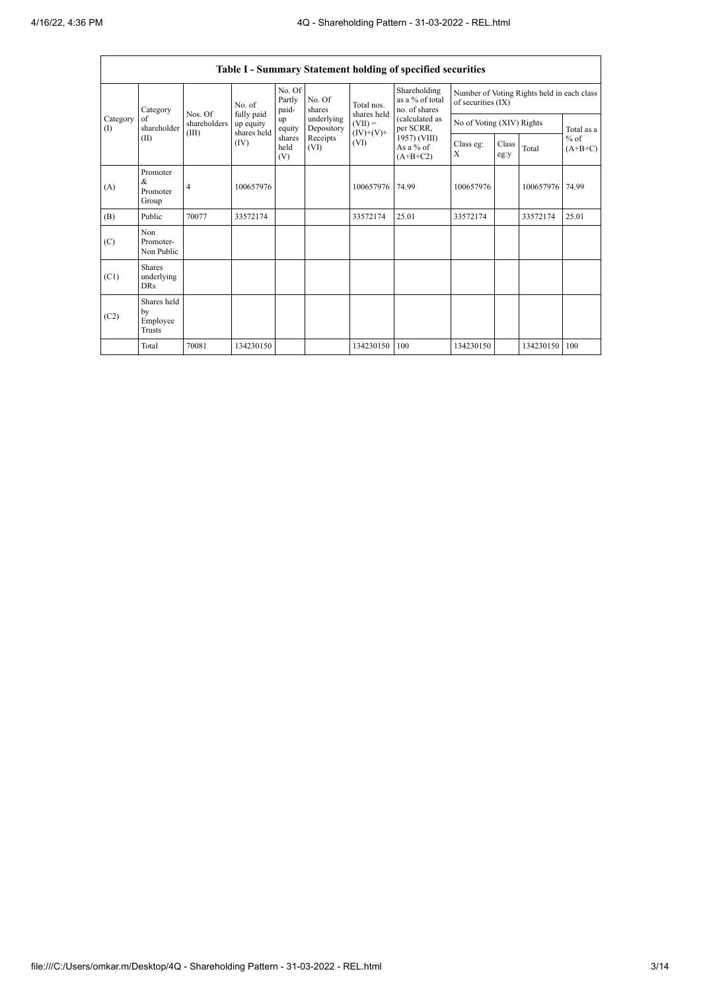|                   | Table I - Summary Statement holding of specified securities |                                  |                                                |                           |                          |                                                 |                                                  |                                                                  |               |           |                     |  |
|-------------------|-------------------------------------------------------------|----------------------------------|------------------------------------------------|---------------------------|--------------------------|-------------------------------------------------|--------------------------------------------------|------------------------------------------------------------------|---------------|-----------|---------------------|--|
|                   | Category<br>of<br>shareholder                               |                                  | No. of                                         | No. Of<br>Partly<br>paid- | No. Of<br>shares         | Total nos.                                      | Shareholding<br>as a % of total<br>no. of shares | Number of Voting Rights held in each class<br>of securities (IX) |               |           |                     |  |
| Category<br>$($ I |                                                             | Nos. Of<br>shareholders<br>(III) | fully paid<br>up equity<br>shares held<br>(IV) | up<br>equity              | underlying<br>Depository | shares held<br>$(VII) =$<br>$(IV)+(V)+$<br>(VI) | (calculated as<br>per SCRR,                      | No of Voting (XIV) Rights                                        |               |           | Total as a          |  |
|                   | (II)                                                        |                                  |                                                | shares<br>held<br>(V)     | Receipts<br>(VI)         |                                                 | 1957) (VIII)<br>As a % of<br>$(A+B+C2)$          | Class eg:<br>X                                                   | Class<br>eg:y | Total     | $%$ of<br>$(A+B+C)$ |  |
| (A)               | Promoter<br>$\&$<br>Promoter<br>Group                       | $\overline{4}$                   | 100657976                                      |                           |                          | 100657976                                       | 74.99                                            | 100657976                                                        |               | 100657976 | 74.99               |  |
| (B)               | Public                                                      | 70077                            | 33572174                                       |                           |                          | 33572174                                        | 25.01                                            | 33572174                                                         |               | 33572174  | 25.01               |  |
| (C)               | Non<br>Promoter-<br>Non Public                              |                                  |                                                |                           |                          |                                                 |                                                  |                                                                  |               |           |                     |  |
| (C1)              | <b>Shares</b><br>underlying<br>DRs                          |                                  |                                                |                           |                          |                                                 |                                                  |                                                                  |               |           |                     |  |
| (C2)              | Shares held<br>by<br>Employee<br>Trusts                     |                                  |                                                |                           |                          |                                                 |                                                  |                                                                  |               |           |                     |  |
|                   | Total                                                       | 70081                            | 134230150                                      |                           |                          | 134230150                                       | 100                                              | 134230150                                                        |               | 134230150 | 100                 |  |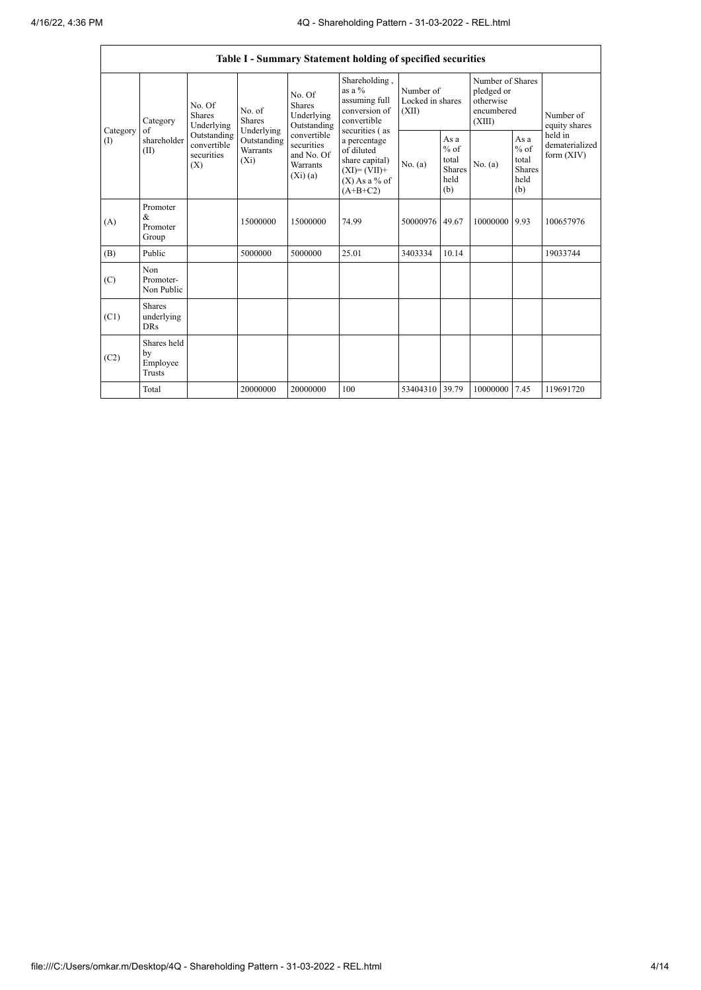$\mathbf{r}$ 

|                        |                                                |                                                                                   |                                                                             |                                                                                                                    | Table I - Summary Statement holding of specified securities                                                                                                                                    |                                        |                                                  |                                                                     |                                                         |                                           |
|------------------------|------------------------------------------------|-----------------------------------------------------------------------------------|-----------------------------------------------------------------------------|--------------------------------------------------------------------------------------------------------------------|------------------------------------------------------------------------------------------------------------------------------------------------------------------------------------------------|----------------------------------------|--------------------------------------------------|---------------------------------------------------------------------|---------------------------------------------------------|-------------------------------------------|
| Category<br>(I)<br>(A) | Category<br>of<br>shareholder<br>(II)          | No. Of<br>Shares<br>Underlying<br>Outstanding<br>convertible<br>securities<br>(X) | No. of<br><b>Shares</b><br>Underlying<br>Outstanding<br>Warrants<br>$(X_i)$ | No. Of<br>Shares<br>Underlying<br>Outstanding<br>convertible<br>securities<br>and No. Of<br>Warrants<br>$(X_i)(a)$ | Shareholding,<br>as a $%$<br>assuming full<br>conversion of<br>convertible<br>securities (as<br>a percentage<br>of diluted<br>share capital)<br>$(XI)=(VII)+$<br>$(X)$ As a % of<br>$(A+B+C2)$ | Number of<br>Locked in shares<br>(XII) |                                                  | Number of Shares<br>pledged or<br>otherwise<br>encumbered<br>(XIII) |                                                         | Number of<br>equity shares                |
|                        |                                                |                                                                                   |                                                                             |                                                                                                                    |                                                                                                                                                                                                | No. (a)                                | As a<br>$%$ of<br>total<br>Shares<br>held<br>(b) | No. (a)                                                             | As a<br>$%$ of<br>total<br><b>Shares</b><br>held<br>(b) | held in<br>dematerialized<br>form $(XIV)$ |
|                        | Promoter<br>&<br>Promoter<br>Group             |                                                                                   | 15000000                                                                    | 15000000                                                                                                           | 74.99                                                                                                                                                                                          | 50000976 49.67                         |                                                  | 10000000 9.93                                                       |                                                         | 100657976                                 |
| (B)                    | Public                                         |                                                                                   | 5000000                                                                     | 5000000                                                                                                            | 25.01                                                                                                                                                                                          | 3403334                                | 10.14                                            |                                                                     |                                                         | 19033744                                  |
| (C)                    | Non<br>Promoter-<br>Non Public                 |                                                                                   |                                                                             |                                                                                                                    |                                                                                                                                                                                                |                                        |                                                  |                                                                     |                                                         |                                           |
| (C1)                   | <b>Shares</b><br>underlying<br><b>DRs</b>      |                                                                                   |                                                                             |                                                                                                                    |                                                                                                                                                                                                |                                        |                                                  |                                                                     |                                                         |                                           |
| (C2)                   | Shares held<br>by<br>Employee<br><b>Trusts</b> |                                                                                   |                                                                             |                                                                                                                    |                                                                                                                                                                                                |                                        |                                                  |                                                                     |                                                         |                                           |
|                        | Total                                          |                                                                                   | 20000000                                                                    | 20000000                                                                                                           | 100                                                                                                                                                                                            | 53404310 39.79                         |                                                  | 10000000                                                            | 7.45                                                    | 119691720                                 |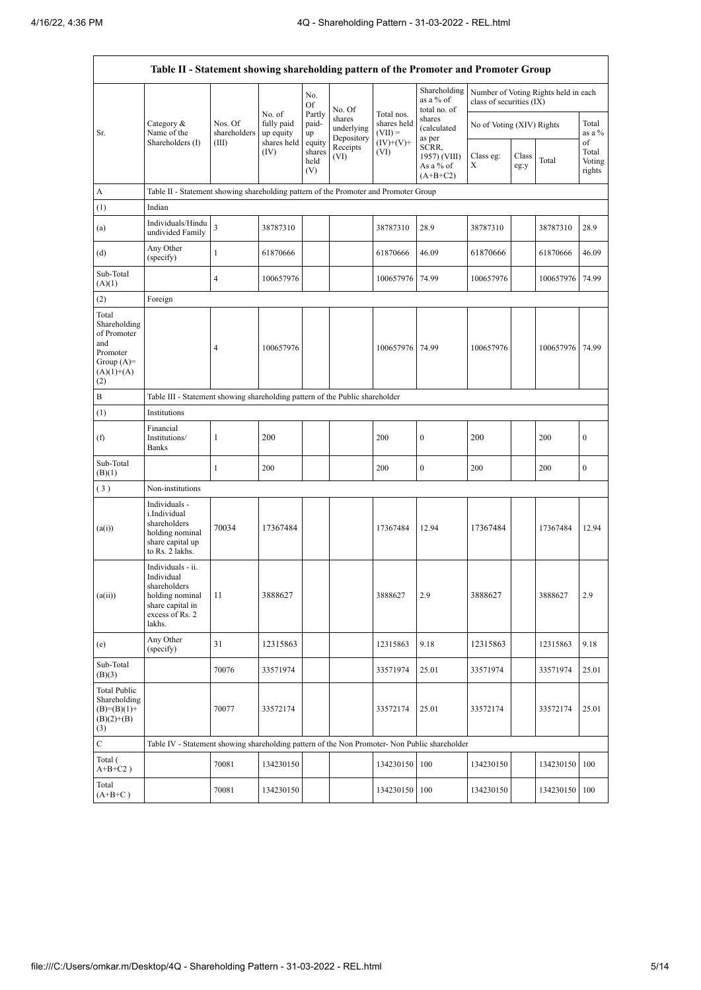$\mathbf{r}$ 

|                                                                                                | Table II - Statement showing shareholding pattern of the Promoter and Promoter Group                                |                                                                              |                                   |                                 |                                    |                                                       |                                                  |                           |               |                                      |                                 |  |
|------------------------------------------------------------------------------------------------|---------------------------------------------------------------------------------------------------------------------|------------------------------------------------------------------------------|-----------------------------------|---------------------------------|------------------------------------|-------------------------------------------------------|--------------------------------------------------|---------------------------|---------------|--------------------------------------|---------------------------------|--|
|                                                                                                |                                                                                                                     |                                                                              |                                   | No.<br>Of                       | No. Of                             |                                                       | Shareholding<br>as a $%$ of<br>total no. of      | class of securities (IX)  |               | Number of Voting Rights held in each |                                 |  |
| Sr.                                                                                            | Category &<br>Name of the                                                                                           | Nos. Of<br>shareholders                                                      | No. of<br>fully paid<br>up equity | Partly<br>paid-<br>up           | shares<br>underlying<br>Depository | Total nos.<br>shares held<br>$(VII) =$<br>$(IV)+(V)+$ | shares<br>(calculated<br>as per                  | No of Voting (XIV) Rights |               |                                      | Total<br>as a %                 |  |
|                                                                                                | Shareholders (I)                                                                                                    | (III)                                                                        | shares held<br>(IV)               | equity<br>shares<br>held<br>(V) | Receipts<br>(VI)                   | (VI)                                                  | SCRR,<br>1957) (VIII)<br>As a % of<br>$(A+B+C2)$ | Class eg:<br>X            | Class<br>eg:y | Total                                | of<br>Total<br>Voting<br>rights |  |
| A                                                                                              | Table II - Statement showing shareholding pattern of the Promoter and Promoter Group                                |                                                                              |                                   |                                 |                                    |                                                       |                                                  |                           |               |                                      |                                 |  |
| (1)                                                                                            | Indian                                                                                                              |                                                                              |                                   |                                 |                                    |                                                       |                                                  |                           |               |                                      |                                 |  |
| (a)                                                                                            | Individuals/Hindu<br>undivided Family                                                                               | $\overline{\mathbf{3}}$                                                      | 38787310                          |                                 |                                    | 38787310                                              | 28.9                                             | 38787310                  |               | 38787310                             | 28.9                            |  |
| (d)                                                                                            | Any Other<br>(specify)                                                                                              | $\mathbf{1}$                                                                 | 61870666                          |                                 |                                    | 61870666                                              | 46.09                                            | 61870666                  |               | 61870666                             | 46.09                           |  |
| Sub-Total<br>(A)(1)                                                                            |                                                                                                                     | $\overline{4}$                                                               | 100657976                         |                                 |                                    | 100657976                                             | 74.99                                            | 100657976                 |               | 100657976                            | 74.99                           |  |
| (2)                                                                                            | Foreign                                                                                                             |                                                                              |                                   |                                 |                                    |                                                       |                                                  |                           |               |                                      |                                 |  |
| Total<br>Shareholding<br>of Promoter<br>and<br>Promoter<br>Group $(A)=$<br>$(A)(1)+(A)$<br>(2) |                                                                                                                     | $\overline{4}$                                                               | 100657976                         |                                 |                                    | 100657976 74.99                                       |                                                  | 100657976                 |               | 100657976 74.99                      |                                 |  |
| B                                                                                              |                                                                                                                     | Table III - Statement showing shareholding pattern of the Public shareholder |                                   |                                 |                                    |                                                       |                                                  |                           |               |                                      |                                 |  |
| (1)                                                                                            | Institutions                                                                                                        |                                                                              |                                   |                                 |                                    |                                                       |                                                  |                           |               |                                      |                                 |  |
| (f)                                                                                            | Financial<br>Institutions/<br><b>Banks</b>                                                                          | $\mathbf{1}$                                                                 | 200                               |                                 |                                    | 200                                                   | $\boldsymbol{0}$                                 | 200                       |               | 200                                  | $\boldsymbol{0}$                |  |
| Sub-Total<br>(B)(1)                                                                            |                                                                                                                     | $\mathbf{1}$                                                                 | 200                               |                                 |                                    | 200                                                   | $\boldsymbol{0}$                                 | 200                       |               | 200                                  | $\boldsymbol{0}$                |  |
| (3)                                                                                            | Non-institutions                                                                                                    |                                                                              |                                   |                                 |                                    |                                                       |                                                  |                           |               |                                      |                                 |  |
| (a(i))                                                                                         | Individuals -<br>i.Individual<br>shareholders<br>holding nominal<br>share capital up<br>to Rs. 2 lakhs.             | 70034                                                                        | 17367484                          |                                 |                                    | 17367484                                              | 12.94                                            | 17367484                  |               | 17367484                             | 12.94                           |  |
| (a(ii))                                                                                        | Individuals - ii.<br>Individual<br>shareholders<br>holding nominal<br>share capital in<br>excess of Rs. 2<br>lakhs. | 11                                                                           | 3888627                           |                                 |                                    | 3888627                                               | 2.9                                              | 3888627                   |               | 3888627                              | 2.9                             |  |
| (e)                                                                                            | Any Other<br>(specify)                                                                                              | 31                                                                           | 12315863                          |                                 |                                    | 12315863                                              | 9.18                                             | 12315863                  |               | 12315863                             | 9.18                            |  |
| Sub-Total<br>(B)(3)                                                                            |                                                                                                                     | 70076                                                                        | 33571974                          |                                 |                                    | 33571974                                              | 25.01                                            | 33571974                  |               | 33571974                             | 25.01                           |  |
| <b>Total Public</b><br>Shareholding<br>$(B)=(B)(1)+$<br>$(B)(2)+(B)$<br>(3)                    |                                                                                                                     | 70077                                                                        | 33572174                          |                                 |                                    | 33572174                                              | 25.01                                            | 33572174                  |               | 33572174                             | 25.01                           |  |
| C                                                                                              | Table IV - Statement showing shareholding pattern of the Non Promoter- Non Public shareholder                       |                                                                              |                                   |                                 |                                    |                                                       |                                                  |                           |               |                                      |                                 |  |
| Total (<br>$A+B+C2$ )                                                                          |                                                                                                                     | 70081                                                                        | 134230150                         |                                 |                                    | 134230150 100                                         |                                                  | 134230150                 |               | 134230150 100                        |                                 |  |
| Total<br>$(A+B+C)$                                                                             |                                                                                                                     | 70081                                                                        | 134230150                         |                                 |                                    | 134230150 100                                         |                                                  | 134230150                 |               | 134230150 100                        |                                 |  |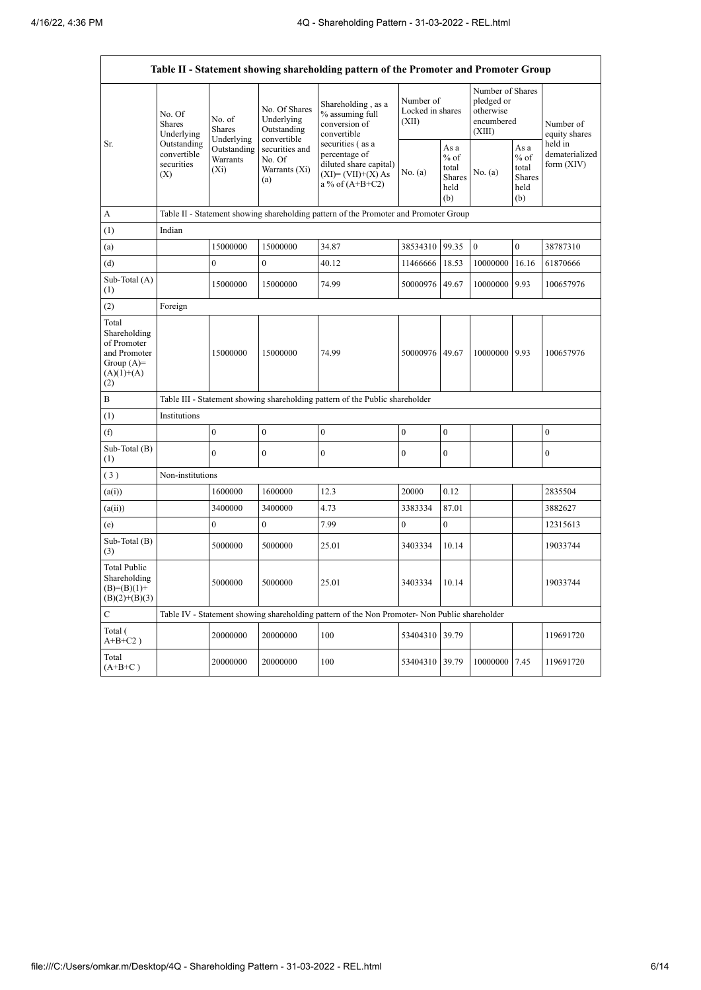ŕ

|                                                                                             | Table II - Statement showing shareholding pattern of the Promoter and Promoter Group |                                    |                                                                                                               |                                                                                                                                                                                    |                                        |                                                  |                                                                     |                                                  |                                           |  |  |  |
|---------------------------------------------------------------------------------------------|--------------------------------------------------------------------------------------|------------------------------------|---------------------------------------------------------------------------------------------------------------|------------------------------------------------------------------------------------------------------------------------------------------------------------------------------------|----------------------------------------|--------------------------------------------------|---------------------------------------------------------------------|--------------------------------------------------|-------------------------------------------|--|--|--|
|                                                                                             | No. Of<br><b>Shares</b><br>Underlying                                                | No. of<br>Shares<br>Underlying     | No. Of Shares<br>Underlying<br>Outstanding<br>convertible<br>securities and<br>No. Of<br>Warrants (Xi)<br>(a) | Shareholding, as a<br>% assuming full<br>conversion of<br>convertible<br>securities (as a<br>percentage of<br>diluted share capital)<br>$(XI) = (VII)+(X) As$<br>a % of $(A+B+C2)$ | Number of<br>Locked in shares<br>(XII) |                                                  | Number of Shares<br>pledged or<br>otherwise<br>encumbered<br>(XIII) |                                                  | Number of<br>equity shares                |  |  |  |
| Sr.                                                                                         | Outstanding<br>convertible<br>securities<br>(X)                                      | Outstanding<br>Warrants<br>$(X_i)$ |                                                                                                               |                                                                                                                                                                                    | No. (a)                                | As a<br>$%$ of<br>total<br>Shares<br>held<br>(b) | No. (a)                                                             | As a<br>$%$ of<br>total<br>Shares<br>held<br>(b) | held in<br>dematerialized<br>form $(XIV)$ |  |  |  |
| А                                                                                           |                                                                                      |                                    |                                                                                                               | Table II - Statement showing shareholding pattern of the Promoter and Promoter Group                                                                                               |                                        |                                                  |                                                                     |                                                  |                                           |  |  |  |
| (1)                                                                                         | Indian                                                                               |                                    |                                                                                                               |                                                                                                                                                                                    |                                        |                                                  |                                                                     |                                                  |                                           |  |  |  |
| (a)                                                                                         |                                                                                      | 15000000                           | 15000000                                                                                                      | 34.87                                                                                                                                                                              | 38534310                               | 99.35                                            | $\boldsymbol{0}$                                                    | $\mathbf{0}$                                     | 38787310                                  |  |  |  |
| (d)                                                                                         |                                                                                      | $\mathbf{0}$                       | $\mathbf{0}$                                                                                                  | 40.12                                                                                                                                                                              | 11466666                               | 18.53                                            | 10000000                                                            | 16.16                                            | 61870666                                  |  |  |  |
| Sub-Total (A)<br>(1)                                                                        |                                                                                      | 15000000                           | 15000000                                                                                                      | 74.99                                                                                                                                                                              | 50000976 49.67                         |                                                  | 10000000                                                            | 9.93                                             | 100657976                                 |  |  |  |
| (2)                                                                                         | Foreign                                                                              |                                    |                                                                                                               |                                                                                                                                                                                    |                                        |                                                  |                                                                     |                                                  |                                           |  |  |  |
| Total<br>Shareholding<br>of Promoter<br>and Promoter<br>Group $(A)=$<br>$(A)(1)+(A)$<br>(2) |                                                                                      | 15000000                           | 15000000                                                                                                      | 74.99                                                                                                                                                                              | 50000976 49.67                         |                                                  | 10000000 9.93                                                       |                                                  | 100657976                                 |  |  |  |
| B                                                                                           |                                                                                      |                                    |                                                                                                               | Table III - Statement showing shareholding pattern of the Public shareholder                                                                                                       |                                        |                                                  |                                                                     |                                                  |                                           |  |  |  |
| (1)                                                                                         | Institutions                                                                         |                                    |                                                                                                               |                                                                                                                                                                                    |                                        |                                                  |                                                                     |                                                  |                                           |  |  |  |
| (f)                                                                                         |                                                                                      | $\boldsymbol{0}$                   | $\boldsymbol{0}$                                                                                              | $\boldsymbol{0}$                                                                                                                                                                   | $\mathbf{0}$                           | $\mathbf{0}$                                     |                                                                     |                                                  | $\boldsymbol{0}$                          |  |  |  |
| Sub-Total (B)<br>(1)                                                                        |                                                                                      | $\mathbf{0}$                       | $\overline{0}$                                                                                                | $\mathbf{0}$                                                                                                                                                                       | $\mathbf{0}$                           | $\mathbf{0}$                                     |                                                                     |                                                  | $\boldsymbol{0}$                          |  |  |  |
| (3)                                                                                         | Non-institutions                                                                     |                                    |                                                                                                               |                                                                                                                                                                                    |                                        |                                                  |                                                                     |                                                  |                                           |  |  |  |
| (a(i))                                                                                      |                                                                                      | 1600000                            | 1600000                                                                                                       | 12.3                                                                                                                                                                               | 20000                                  | 0.12                                             |                                                                     |                                                  | 2835504                                   |  |  |  |
| (a(ii))                                                                                     |                                                                                      | 3400000                            | 3400000                                                                                                       | 4.73                                                                                                                                                                               | 3383334                                | 87.01                                            |                                                                     |                                                  | 3882627                                   |  |  |  |
| (e)                                                                                         |                                                                                      | $\mathbf{0}$                       | $\mathbf{0}$                                                                                                  | 7.99                                                                                                                                                                               | $\mathbf{0}$                           | $\mathbf{0}$                                     |                                                                     |                                                  | 12315613                                  |  |  |  |
| Sub-Total (B)<br>(3)                                                                        |                                                                                      | 5000000                            | 5000000                                                                                                       | 25.01                                                                                                                                                                              | 3403334                                | 10.14                                            |                                                                     |                                                  | 19033744                                  |  |  |  |
| <b>Total Public</b><br>Shareholding<br>$(B)=(B)(1)+$<br>$(B)(2)+(B)(3)$                     |                                                                                      | 5000000                            | 5000000                                                                                                       | 25.01                                                                                                                                                                              | 3403334                                | 10.14                                            |                                                                     |                                                  | 19033744                                  |  |  |  |
| $\mathbf C$                                                                                 |                                                                                      |                                    |                                                                                                               | Table IV - Statement showing shareholding pattern of the Non Promoter- Non Public shareholder                                                                                      |                                        |                                                  |                                                                     |                                                  |                                           |  |  |  |
| Total (<br>$A+B+C2$ )                                                                       |                                                                                      | 20000000                           | 20000000                                                                                                      | 100                                                                                                                                                                                | 53404310 39.79                         |                                                  |                                                                     |                                                  | 119691720                                 |  |  |  |
| Total<br>$(A+B+C)$                                                                          |                                                                                      | 20000000                           | 20000000                                                                                                      | 100                                                                                                                                                                                | 53404310 39.79                         |                                                  | 10000000                                                            | 7.45                                             | 119691720                                 |  |  |  |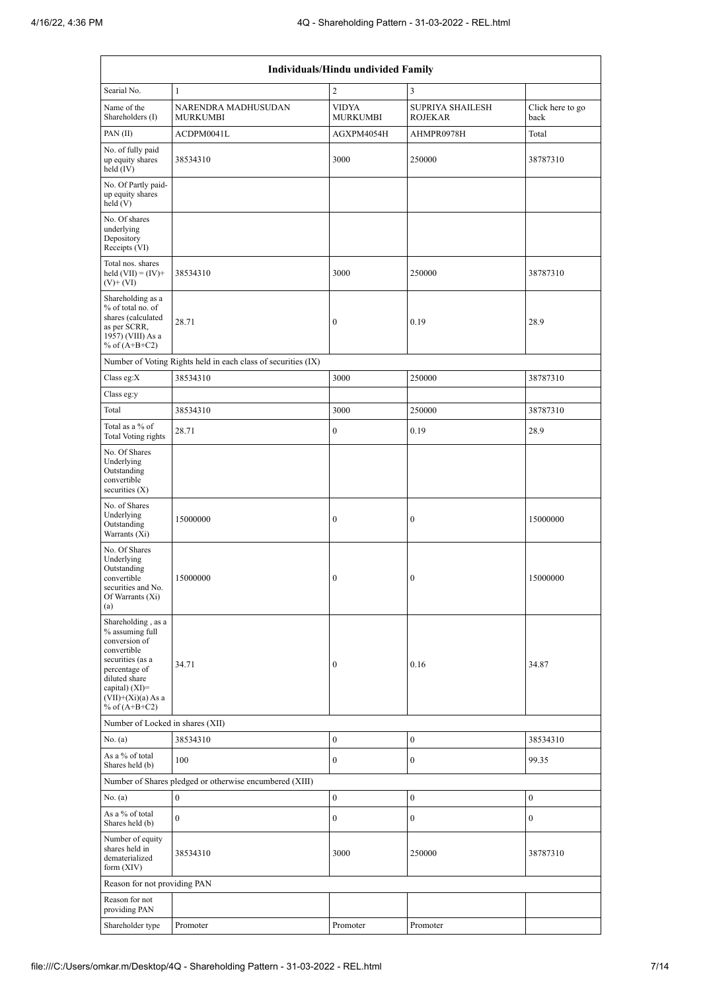| Individuals/Hindu undivided Family                                                                                                                                                          |                                                               |                                      |                                      |                                      |  |  |  |  |
|---------------------------------------------------------------------------------------------------------------------------------------------------------------------------------------------|---------------------------------------------------------------|--------------------------------------|--------------------------------------|--------------------------------------|--|--|--|--|
| Searial No.                                                                                                                                                                                 | 1                                                             | $\overline{c}$                       | 3                                    |                                      |  |  |  |  |
| Name of the<br>Shareholders (I)                                                                                                                                                             | NARENDRA MADHUSUDAN<br><b>MURKUMBI</b>                        | <b>VIDYA</b><br><b>MURKUMBI</b>      | SUPRIYA SHAILESH<br><b>ROJEKAR</b>   | Click here to go<br>back             |  |  |  |  |
| PAN(II)                                                                                                                                                                                     | ACDPM0041L                                                    | AGXPM4054H                           | AHMPR0978H                           | Total                                |  |  |  |  |
| No. of fully paid<br>up equity shares<br>held $(IV)$                                                                                                                                        | 38534310                                                      | 3000                                 | 250000                               | 38787310                             |  |  |  |  |
| No. Of Partly paid-<br>up equity shares<br>held(V)                                                                                                                                          |                                                               |                                      |                                      |                                      |  |  |  |  |
| No. Of shares<br>underlying<br>Depository<br>Receipts (VI)                                                                                                                                  |                                                               |                                      |                                      |                                      |  |  |  |  |
| Total nos. shares<br>held $(VII) = (IV) +$<br>$(V)$ + $(VI)$                                                                                                                                | 38534310                                                      | 3000                                 | 250000                               | 38787310                             |  |  |  |  |
| Shareholding as a<br>% of total no. of<br>shares (calculated<br>as per SCRR,<br>1957) (VIII) As a<br>% of $(A+B+C2)$                                                                        | 28.71                                                         | $\boldsymbol{0}$                     | 0.19                                 | 28.9                                 |  |  |  |  |
|                                                                                                                                                                                             | Number of Voting Rights held in each class of securities (IX) |                                      |                                      |                                      |  |  |  |  |
| Class eg: $X$                                                                                                                                                                               | 38534310                                                      | 3000                                 | 250000                               | 38787310                             |  |  |  |  |
| Class eg:y                                                                                                                                                                                  |                                                               |                                      |                                      |                                      |  |  |  |  |
| Total                                                                                                                                                                                       | 38534310                                                      | 3000                                 | 250000                               | 38787310                             |  |  |  |  |
| Total as a % of<br>Total Voting rights                                                                                                                                                      | 28.71                                                         | $\boldsymbol{0}$                     | 0.19                                 | 28.9                                 |  |  |  |  |
| No. Of Shares<br>Underlying<br>Outstanding<br>convertible<br>securities $(X)$                                                                                                               |                                                               |                                      |                                      |                                      |  |  |  |  |
| No. of Shares<br>Underlying<br>Outstanding<br>Warrants (Xi)                                                                                                                                 | 15000000                                                      | $\boldsymbol{0}$                     | $\boldsymbol{0}$                     | 15000000                             |  |  |  |  |
| No. Of Shares<br>Underlying<br>Outstanding<br>convertible<br>securities and No.<br>Of Warrants (Xi)<br>(a)                                                                                  | 15000000                                                      | $\boldsymbol{0}$                     | $\boldsymbol{0}$                     | 15000000                             |  |  |  |  |
| Shareholding, as a<br>% assuming full<br>conversion of<br>convertible<br>securities (as a<br>percentage of<br>diluted share<br>capital) $(XI)$ =<br>$(VII)+(Xi)(a) As a$<br>% of $(A+B+C2)$ | 34.71                                                         | $\mathbf{0}$                         | 0.16                                 | 34.87                                |  |  |  |  |
| Number of Locked in shares (XII)                                                                                                                                                            |                                                               |                                      |                                      |                                      |  |  |  |  |
| No. (a)                                                                                                                                                                                     | 38534310                                                      | $\boldsymbol{0}$                     | $\mathbf{0}$                         | 38534310                             |  |  |  |  |
| As a % of total<br>Shares held (b)                                                                                                                                                          | 100                                                           | $\boldsymbol{0}$                     | $\boldsymbol{0}$                     | 99.35                                |  |  |  |  |
|                                                                                                                                                                                             | Number of Shares pledged or otherwise encumbered (XIII)       |                                      |                                      |                                      |  |  |  |  |
| No. (a)<br>As a % of total                                                                                                                                                                  | $\bf{0}$<br>$\mathbf{0}$                                      | $\boldsymbol{0}$<br>$\boldsymbol{0}$ | $\boldsymbol{0}$<br>$\boldsymbol{0}$ | $\boldsymbol{0}$<br>$\boldsymbol{0}$ |  |  |  |  |
| Shares held (b)<br>Number of equity<br>shares held in<br>dematerialized<br>form $(XIV)$                                                                                                     | 38534310                                                      | 3000                                 | 250000                               | 38787310                             |  |  |  |  |
| Reason for not providing PAN                                                                                                                                                                |                                                               |                                      |                                      |                                      |  |  |  |  |
| Reason for not<br>providing PAN                                                                                                                                                             |                                                               |                                      |                                      |                                      |  |  |  |  |
| Shareholder type                                                                                                                                                                            | Promoter                                                      | Promoter                             | Promoter                             |                                      |  |  |  |  |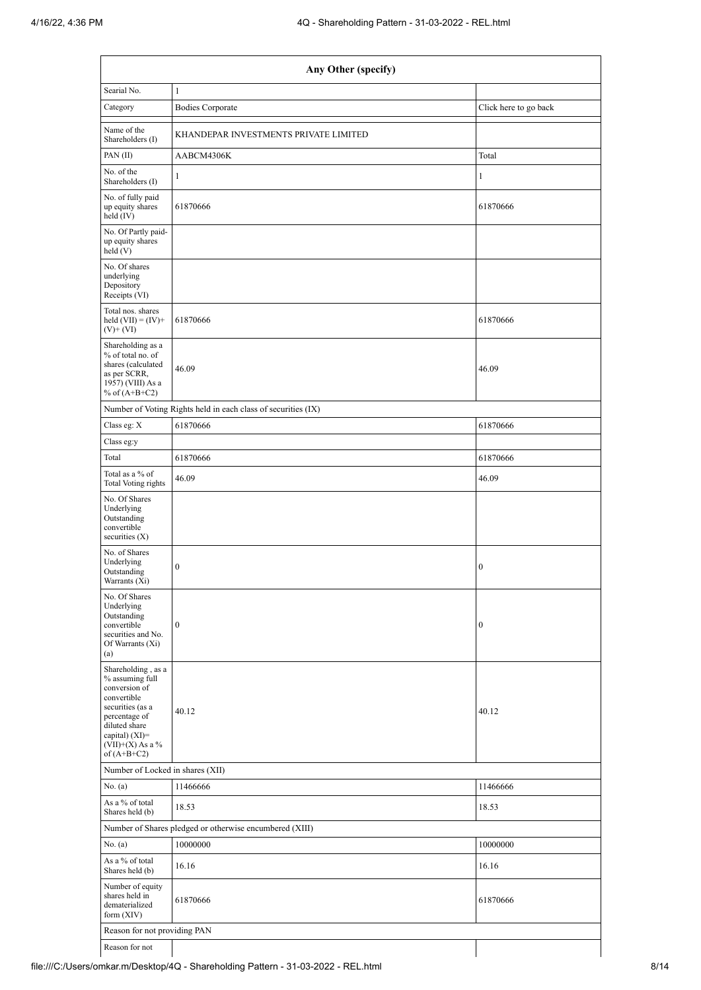| Any Other (specify)                                                                                                                                                                  |                                                               |                       |  |  |  |  |  |  |  |
|--------------------------------------------------------------------------------------------------------------------------------------------------------------------------------------|---------------------------------------------------------------|-----------------------|--|--|--|--|--|--|--|
| Searial No.                                                                                                                                                                          | $\mathbf{1}$                                                  |                       |  |  |  |  |  |  |  |
| Category                                                                                                                                                                             | <b>Bodies Corporate</b>                                       | Click here to go back |  |  |  |  |  |  |  |
| Name of the<br>Shareholders (I)                                                                                                                                                      | KHANDEPAR INVESTMENTS PRIVATE LIMITED                         |                       |  |  |  |  |  |  |  |
| PAN(II)                                                                                                                                                                              | AABCM4306K                                                    | Total                 |  |  |  |  |  |  |  |
| No. of the<br>Shareholders (I)                                                                                                                                                       | $\mathbf{1}$                                                  | $\mathbf{1}$          |  |  |  |  |  |  |  |
| No. of fully paid<br>up equity shares<br>held (IV)                                                                                                                                   | 61870666                                                      | 61870666              |  |  |  |  |  |  |  |
| No. Of Partly paid-<br>up equity shares<br>held(V)                                                                                                                                   |                                                               |                       |  |  |  |  |  |  |  |
| No. Of shares<br>underlying<br>Depository<br>Receipts (VI)                                                                                                                           |                                                               |                       |  |  |  |  |  |  |  |
| Total nos. shares<br>held $(VII) = (IV) +$<br>$(V)$ + $(VI)$                                                                                                                         | 61870666                                                      | 61870666              |  |  |  |  |  |  |  |
| Shareholding as a<br>% of total no. of<br>shares (calculated<br>as per SCRR,<br>1957) (VIII) As a<br>% of $(A+B+C2)$                                                                 | 46.09                                                         | 46.09                 |  |  |  |  |  |  |  |
|                                                                                                                                                                                      | Number of Voting Rights held in each class of securities (IX) |                       |  |  |  |  |  |  |  |
| Class eg: X                                                                                                                                                                          | 61870666                                                      | 61870666              |  |  |  |  |  |  |  |
| Class eg:y                                                                                                                                                                           |                                                               |                       |  |  |  |  |  |  |  |
| Total                                                                                                                                                                                | 61870666                                                      | 61870666              |  |  |  |  |  |  |  |
| Total as a % of<br>Total Voting rights                                                                                                                                               | 46.09                                                         | 46.09                 |  |  |  |  |  |  |  |
| No. Of Shares<br>Underlying<br>Outstanding<br>convertible<br>securities $(X)$                                                                                                        |                                                               |                       |  |  |  |  |  |  |  |
| No. of Shares<br>Underlying<br>Outstanding<br>Warrants (Xi)                                                                                                                          | $\boldsymbol{0}$                                              | $\boldsymbol{0}$      |  |  |  |  |  |  |  |
| No. Of Shares<br>Underlying<br>Outstanding<br>convertible<br>securities and No.<br>Of Warrants (Xi)<br>(a)                                                                           | $\boldsymbol{0}$                                              | $\boldsymbol{0}$      |  |  |  |  |  |  |  |
| Shareholding, as a<br>% assuming full<br>conversion of<br>convertible<br>securities (as a<br>percentage of<br>diluted share<br>capital) (XI)=<br>$(VII)+(X)$ As a %<br>of $(A+B+C2)$ | 40.12                                                         | 40.12                 |  |  |  |  |  |  |  |
| Number of Locked in shares (XII)                                                                                                                                                     |                                                               |                       |  |  |  |  |  |  |  |
| No. (a)                                                                                                                                                                              | 11466666                                                      | 11466666              |  |  |  |  |  |  |  |
| As a % of total<br>Shares held (b)                                                                                                                                                   | 18.53                                                         | 18.53                 |  |  |  |  |  |  |  |
|                                                                                                                                                                                      | Number of Shares pledged or otherwise encumbered (XIII)       |                       |  |  |  |  |  |  |  |
| No. (a)                                                                                                                                                                              | 10000000                                                      | 10000000              |  |  |  |  |  |  |  |
| As a % of total<br>Shares held (b)                                                                                                                                                   | 16.16                                                         | 16.16                 |  |  |  |  |  |  |  |
| Number of equity<br>shares held in<br>dematerialized<br>form $(XIV)$                                                                                                                 | 61870666                                                      | 61870666              |  |  |  |  |  |  |  |
| Reason for not providing PAN                                                                                                                                                         |                                                               |                       |  |  |  |  |  |  |  |
| Reason for not                                                                                                                                                                       |                                                               |                       |  |  |  |  |  |  |  |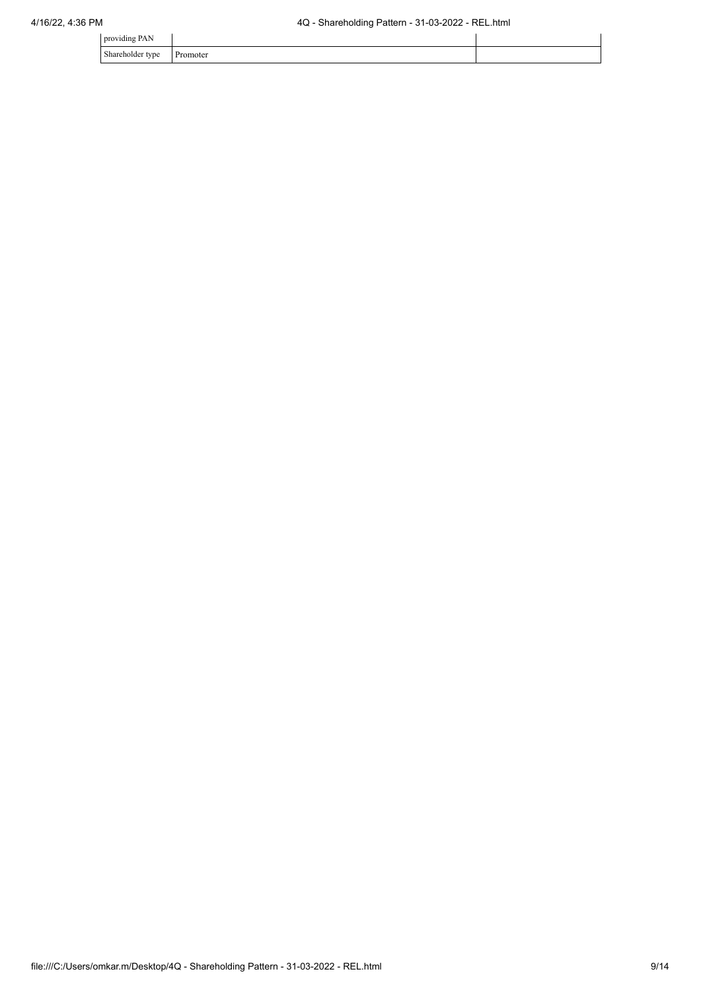| .<br>providing<br>111      |                                   |  |
|----------------------------|-----------------------------------|--|
| ⊾harahal∩<br>$\sim$<br>. . | - -- -<br>oter<br>1.11<br><u></u> |  |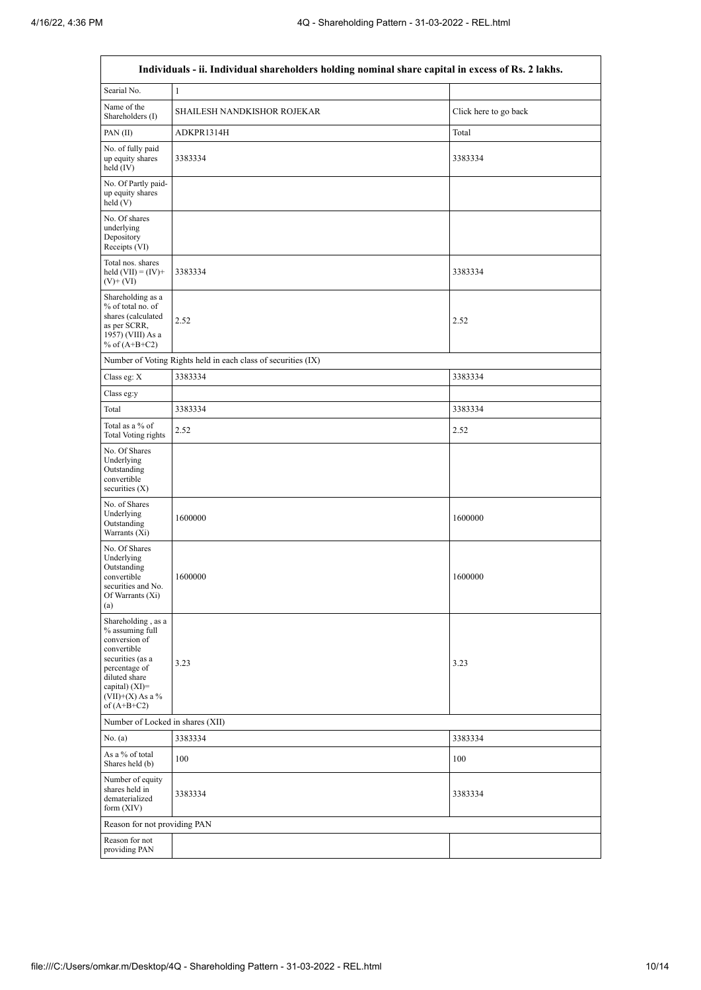$\overline{1}$ 

 $\overline{\mathsf{I}}$ 

|                                                                                                                                                                                         | Individuals - ii. Individual shareholders holding nominal share capital in excess of Rs. 2 lakhs. |                       |  |  |  |  |  |  |  |  |
|-----------------------------------------------------------------------------------------------------------------------------------------------------------------------------------------|---------------------------------------------------------------------------------------------------|-----------------------|--|--|--|--|--|--|--|--|
| Searial No.                                                                                                                                                                             | $\mathbf{1}$                                                                                      |                       |  |  |  |  |  |  |  |  |
| Name of the<br>Shareholders (I)                                                                                                                                                         | SHAILESH NANDKISHOR ROJEKAR                                                                       | Click here to go back |  |  |  |  |  |  |  |  |
| PAN $(II)$                                                                                                                                                                              | ADKPR1314H                                                                                        | Total                 |  |  |  |  |  |  |  |  |
| No. of fully paid<br>up equity shares<br>held (IV)                                                                                                                                      | 3383334                                                                                           | 3383334               |  |  |  |  |  |  |  |  |
| No. Of Partly paid-<br>up equity shares<br>held(V)                                                                                                                                      |                                                                                                   |                       |  |  |  |  |  |  |  |  |
| No. Of shares<br>underlying<br>Depository<br>Receipts (VI)                                                                                                                              |                                                                                                   |                       |  |  |  |  |  |  |  |  |
| Total nos. shares<br>held $(VII) = (IV) +$<br>$(V)$ + $(VI)$                                                                                                                            | 3383334                                                                                           | 3383334               |  |  |  |  |  |  |  |  |
| Shareholding as a<br>% of total no. of<br>shares (calculated<br>as per SCRR,<br>1957) (VIII) As a<br>% of $(A+B+C2)$                                                                    | 2.52                                                                                              | 2.52                  |  |  |  |  |  |  |  |  |
|                                                                                                                                                                                         | Number of Voting Rights held in each class of securities (IX)                                     |                       |  |  |  |  |  |  |  |  |
| Class eg: X                                                                                                                                                                             | 3383334                                                                                           | 3383334               |  |  |  |  |  |  |  |  |
| Class eg:y                                                                                                                                                                              |                                                                                                   |                       |  |  |  |  |  |  |  |  |
| Total                                                                                                                                                                                   | 3383334                                                                                           | 3383334               |  |  |  |  |  |  |  |  |
| Total as a % of<br>Total Voting rights                                                                                                                                                  | 2.52                                                                                              | 2.52                  |  |  |  |  |  |  |  |  |
| No. Of Shares<br>Underlying<br>Outstanding<br>convertible<br>securities $(X)$                                                                                                           |                                                                                                   |                       |  |  |  |  |  |  |  |  |
| No. of Shares<br>Underlying<br>Outstanding<br>Warrants (Xi)                                                                                                                             | 1600000                                                                                           | 1600000               |  |  |  |  |  |  |  |  |
| No. Of Shares<br>Underlying<br>Outstanding<br>convertible<br>securities and No.<br>Of Warrants (Xi)<br>(a)                                                                              | 1600000                                                                                           | 1600000               |  |  |  |  |  |  |  |  |
| Shareholding, as a<br>% assuming full<br>conversion of<br>convertible<br>securities (as a<br>percentage of<br>diluted share<br>capital) $(XI)$ =<br>$(VII)+(X)$ As a %<br>of $(A+B+C2)$ | 3.23                                                                                              | 3.23                  |  |  |  |  |  |  |  |  |
| Number of Locked in shares (XII)                                                                                                                                                        |                                                                                                   |                       |  |  |  |  |  |  |  |  |
| No. (a)                                                                                                                                                                                 | 3383334                                                                                           | 3383334               |  |  |  |  |  |  |  |  |
| As a % of total<br>Shares held (b)                                                                                                                                                      | 100                                                                                               | 100                   |  |  |  |  |  |  |  |  |
| Number of equity<br>shares held in<br>dematerialized<br>form $(XIV)$                                                                                                                    | 3383334                                                                                           | 3383334               |  |  |  |  |  |  |  |  |
| Reason for not providing PAN                                                                                                                                                            |                                                                                                   |                       |  |  |  |  |  |  |  |  |
| Reason for not<br>providing PAN                                                                                                                                                         |                                                                                                   |                       |  |  |  |  |  |  |  |  |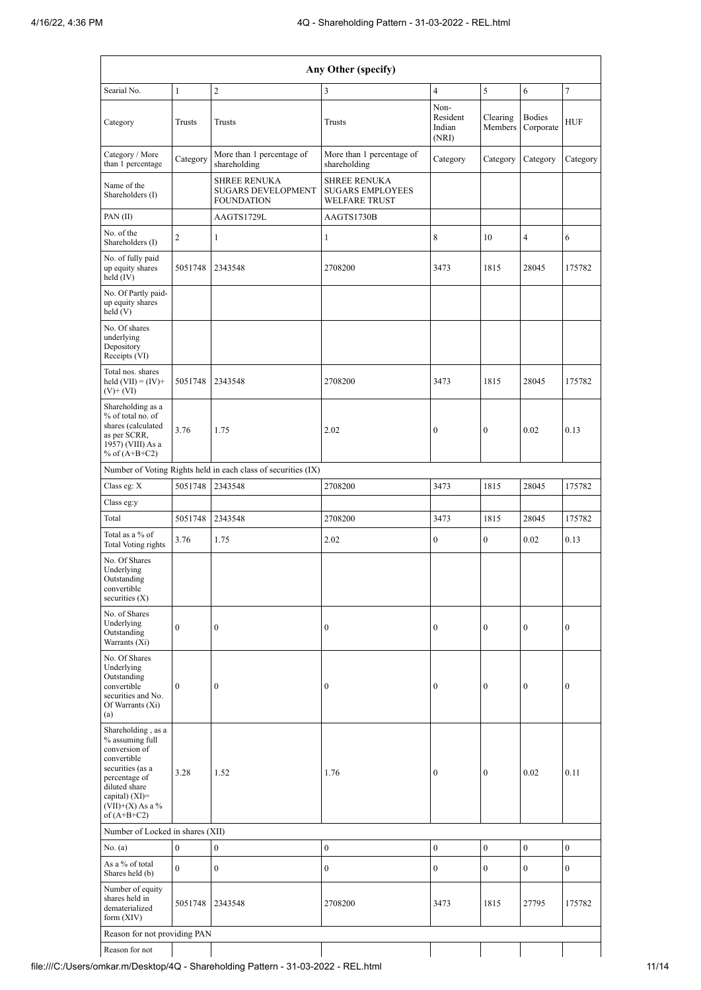| Any Other (specify)                                                                                                                                                                    |                                                               |                                                                       |                                                                        |                                     |                     |                            |                  |  |  |  |
|----------------------------------------------------------------------------------------------------------------------------------------------------------------------------------------|---------------------------------------------------------------|-----------------------------------------------------------------------|------------------------------------------------------------------------|-------------------------------------|---------------------|----------------------------|------------------|--|--|--|
| Searial No.                                                                                                                                                                            | $\mathbf{1}$                                                  | $\overline{c}$                                                        | 3                                                                      | $\overline{\mathbf{4}}$             | 5                   | 6                          | $\tau$           |  |  |  |
| Category                                                                                                                                                                               | Trusts                                                        | Trusts                                                                | Trusts                                                                 | Non-<br>Resident<br>Indian<br>(NRI) | Clearing<br>Members | <b>Bodies</b><br>Corporate | <b>HUF</b>       |  |  |  |
| Category / More<br>than 1 percentage                                                                                                                                                   | Category                                                      | More than 1 percentage of<br>shareholding                             | More than 1 percentage of<br>shareholding                              | Category                            | Category            | Category                   | Category         |  |  |  |
| Name of the<br>Shareholders (I)                                                                                                                                                        |                                                               | <b>SHREE RENUKA</b><br><b>SUGARS DEVELOPMENT</b><br><b>FOUNDATION</b> | <b>SHREE RENUKA</b><br><b>SUGARS EMPLOYEES</b><br><b>WELFARE TRUST</b> |                                     |                     |                            |                  |  |  |  |
| PAN(II)                                                                                                                                                                                |                                                               | AAGTS1729L                                                            | AAGTS1730B                                                             |                                     |                     |                            |                  |  |  |  |
| No. of the<br>Shareholders (I)                                                                                                                                                         | $\overline{c}$                                                | $\mathbf{1}$                                                          | $\mathbf{1}$                                                           | 8                                   | 10                  | $\overline{4}$             | 6                |  |  |  |
| No. of fully paid<br>up equity shares<br>held $(IV)$                                                                                                                                   | 5051748                                                       | 2343548                                                               | 2708200                                                                | 3473                                | 1815                | 28045                      | 175782           |  |  |  |
| No. Of Partly paid-<br>up equity shares<br>held(V)                                                                                                                                     |                                                               |                                                                       |                                                                        |                                     |                     |                            |                  |  |  |  |
| No. Of shares<br>underlying<br>Depository<br>Receipts (VI)                                                                                                                             |                                                               |                                                                       |                                                                        |                                     |                     |                            |                  |  |  |  |
| Total nos. shares<br>held $(VII) = (IV) +$<br>$(V)$ + $(VI)$                                                                                                                           | 5051748                                                       | 2343548                                                               | 2708200                                                                | 3473                                | 1815                | 28045                      | 175782           |  |  |  |
| Shareholding as a<br>% of total no. of<br>shares (calculated<br>as per SCRR,<br>1957) (VIII) As a<br>% of $(A+B+C2)$                                                                   | 3.76                                                          | 1.75                                                                  | 2.02                                                                   | $\boldsymbol{0}$                    | $\overline{0}$      | 0.02                       | 0.13             |  |  |  |
|                                                                                                                                                                                        | Number of Voting Rights held in each class of securities (IX) |                                                                       |                                                                        |                                     |                     |                            |                  |  |  |  |
| Class eg: $\mathbf X$                                                                                                                                                                  | 5051748                                                       | 2343548                                                               | 2708200                                                                | 3473                                | 1815                | 28045                      | 175782           |  |  |  |
| Class eg:y                                                                                                                                                                             |                                                               |                                                                       |                                                                        |                                     |                     |                            |                  |  |  |  |
| Total                                                                                                                                                                                  | 5051748                                                       | 2343548                                                               | 2708200                                                                | 3473                                | 1815                | 28045                      | 175782           |  |  |  |
| Total as a % of<br>Total Voting rights                                                                                                                                                 | 3.76                                                          | 1.75                                                                  | 2.02                                                                   | 0                                   | $\boldsymbol{0}$    | 0.02                       | 0.13             |  |  |  |
| No. Of Shares<br>Underlying<br>Outstanding<br>convertible<br>securities $(X)$                                                                                                          |                                                               |                                                                       |                                                                        |                                     |                     |                            |                  |  |  |  |
| No. of Shares<br>Underlying<br>Outstanding<br>Warrants (Xi)                                                                                                                            | $\boldsymbol{0}$                                              | $\boldsymbol{0}$                                                      | $\boldsymbol{0}$                                                       | $\boldsymbol{0}$                    | $\overline{0}$      | $\boldsymbol{0}$           | $\boldsymbol{0}$ |  |  |  |
| No. Of Shares<br>Underlying<br>Outstanding<br>convertible<br>securities and No.<br>Of Warrants (Xi)<br>(a)                                                                             | $\boldsymbol{0}$                                              | 0                                                                     | $\boldsymbol{0}$                                                       | $\mathbf{0}$                        | $\boldsymbol{0}$    | $\boldsymbol{0}$           | $\boldsymbol{0}$ |  |  |  |
| Shareholding, as a<br>% assuming full<br>conversion of<br>convertible<br>securities (as a<br>percentage of<br>diluted share<br>capital) $(XI)=$<br>$(VII)+(X)$ As a %<br>of $(A+B+C2)$ | 3.28                                                          | 1.52                                                                  | 1.76                                                                   | $\boldsymbol{0}$                    | $\boldsymbol{0}$    | 0.02                       | 0.11             |  |  |  |
| Number of Locked in shares (XII)                                                                                                                                                       |                                                               |                                                                       |                                                                        |                                     |                     |                            |                  |  |  |  |
| No. (a)                                                                                                                                                                                | $\boldsymbol{0}$                                              | $\mathbf{0}$                                                          | $\boldsymbol{0}$                                                       | $\boldsymbol{0}$                    | $\boldsymbol{0}$    | $\boldsymbol{0}$           | $\boldsymbol{0}$ |  |  |  |
| As a % of total<br>Shares held (b)                                                                                                                                                     | $\mathbf{0}$                                                  | $\mathbf{0}$                                                          | $\mathbf{0}$                                                           | $\overline{0}$                      | $\boldsymbol{0}$    | $\boldsymbol{0}$           | $\mathbf{0}$     |  |  |  |
| Number of equity<br>shares held in<br>dematerialized<br>form $(XIV)$                                                                                                                   | 5051748                                                       | 2343548                                                               | 2708200                                                                | 3473                                | 1815                | 27795                      | 175782           |  |  |  |
| Reason for not providing PAN                                                                                                                                                           |                                                               |                                                                       |                                                                        |                                     |                     |                            |                  |  |  |  |

 $\overline{\phantom{a}}$ 

Reason for not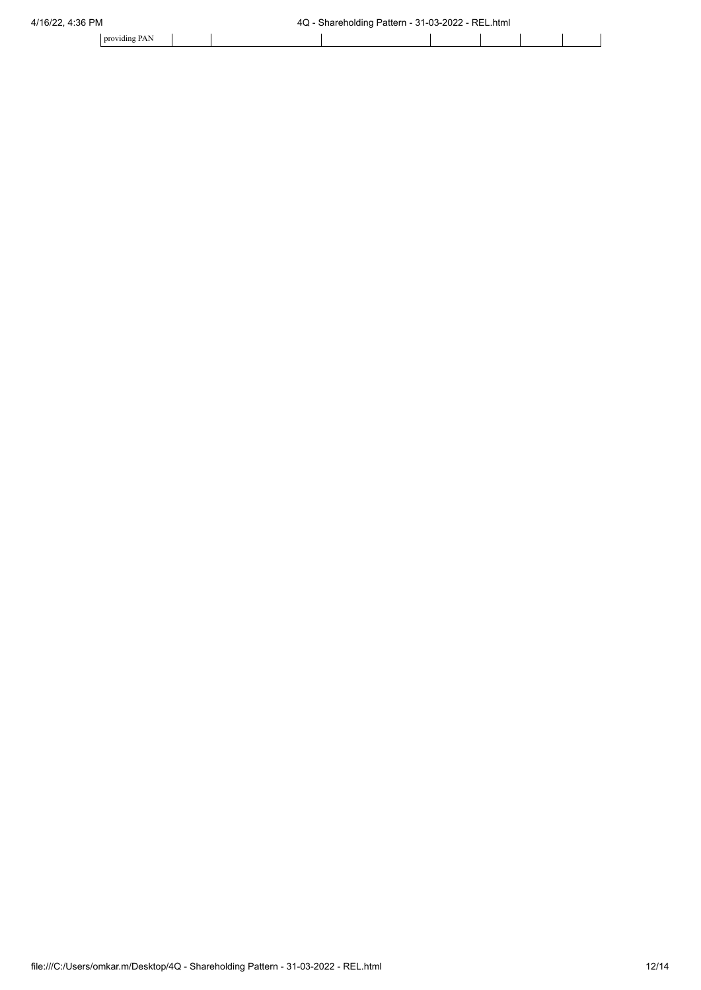| $\sim$ $\sim$<br>providing PAN |  |  |  |  |
|--------------------------------|--|--|--|--|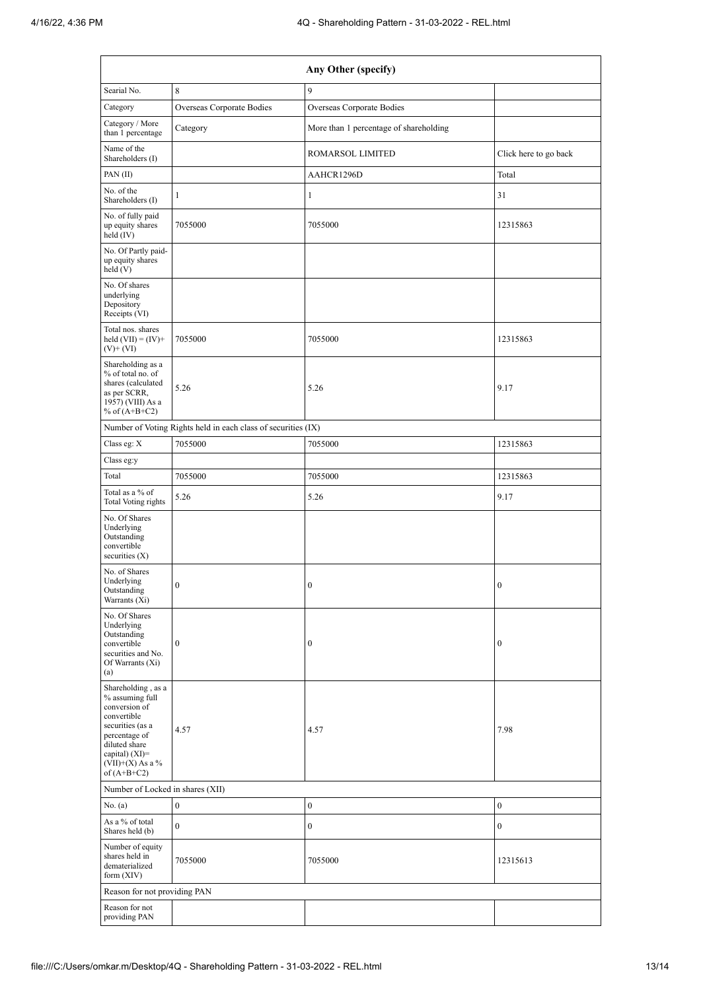| Any Other (specify)                                                                                                                                                                  |                                                               |                                        |                       |  |  |  |  |  |  |
|--------------------------------------------------------------------------------------------------------------------------------------------------------------------------------------|---------------------------------------------------------------|----------------------------------------|-----------------------|--|--|--|--|--|--|
| Searial No.                                                                                                                                                                          | 8                                                             | 9                                      |                       |  |  |  |  |  |  |
| Category                                                                                                                                                                             | Overseas Corporate Bodies                                     | Overseas Corporate Bodies              |                       |  |  |  |  |  |  |
| Category / More<br>than 1 percentage                                                                                                                                                 | Category                                                      | More than 1 percentage of shareholding |                       |  |  |  |  |  |  |
| Name of the<br>Shareholders (I)                                                                                                                                                      |                                                               | ROMARSOL LIMITED                       | Click here to go back |  |  |  |  |  |  |
| PAN(II)                                                                                                                                                                              |                                                               | AAHCR1296D                             | Total                 |  |  |  |  |  |  |
| No. of the<br>Shareholders (I)                                                                                                                                                       | $\mathbf{1}$                                                  | $\mathbf{1}$                           | 31                    |  |  |  |  |  |  |
| No. of fully paid<br>up equity shares<br>held (IV)                                                                                                                                   | 7055000                                                       | 7055000                                | 12315863              |  |  |  |  |  |  |
| No. Of Partly paid-<br>up equity shares<br>held(V)                                                                                                                                   |                                                               |                                        |                       |  |  |  |  |  |  |
| No. Of shares<br>underlying<br>Depository<br>Receipts (VI)                                                                                                                           |                                                               |                                        |                       |  |  |  |  |  |  |
| Total nos. shares<br>held $(VII) = (IV) +$<br>$(V)$ + $(VI)$                                                                                                                         | 7055000                                                       | 7055000                                | 12315863              |  |  |  |  |  |  |
| Shareholding as a<br>% of total no. of<br>shares (calculated<br>as per SCRR,<br>1957) (VIII) As a<br>% of $(A+B+C2)$                                                                 | 5.26                                                          | 5.26                                   | 9.17                  |  |  |  |  |  |  |
|                                                                                                                                                                                      | Number of Voting Rights held in each class of securities (IX) |                                        |                       |  |  |  |  |  |  |
| Class eg: $\mathbf X$                                                                                                                                                                | 7055000                                                       | 7055000                                | 12315863              |  |  |  |  |  |  |
| Class eg:y                                                                                                                                                                           |                                                               |                                        |                       |  |  |  |  |  |  |
| Total                                                                                                                                                                                | 7055000                                                       | 7055000                                | 12315863              |  |  |  |  |  |  |
| Total as a % of<br>Total Voting rights                                                                                                                                               | 5.26                                                          | 5.26                                   | 9.17                  |  |  |  |  |  |  |
| No. Of Shares<br>Underlying<br>Outstanding<br>convertible<br>securities $(X)$                                                                                                        |                                                               |                                        |                       |  |  |  |  |  |  |
| No. of Shares<br>Underlying<br>Outstanding<br>Warrants (Xi)                                                                                                                          | $\boldsymbol{0}$                                              | 0                                      | $\bf{0}$              |  |  |  |  |  |  |
| No. Of Shares<br>Underlying<br>Outstanding<br>convertible<br>securities and No.<br>Of Warrants (Xi)<br>(a)                                                                           | $\boldsymbol{0}$                                              | $\boldsymbol{0}$                       | $\bf{0}$              |  |  |  |  |  |  |
| Shareholding, as a<br>% assuming full<br>conversion of<br>convertible<br>securities (as a<br>percentage of<br>diluted share<br>capital) (XI)=<br>$(VII)+(X)$ As a %<br>of $(A+B+C2)$ | 4.57                                                          | 4.57                                   | 7.98                  |  |  |  |  |  |  |
| Number of Locked in shares (XII)                                                                                                                                                     |                                                               |                                        |                       |  |  |  |  |  |  |
| No. (a)                                                                                                                                                                              | $\boldsymbol{0}$                                              | $\boldsymbol{0}$                       | $\mathbf{0}$          |  |  |  |  |  |  |
| As a % of total<br>Shares held (b)                                                                                                                                                   | $\boldsymbol{0}$                                              | $\boldsymbol{0}$                       | $\bf{0}$              |  |  |  |  |  |  |
| Number of equity<br>shares held in<br>dematerialized<br>form $(XIV)$                                                                                                                 | 7055000                                                       | 7055000                                | 12315613              |  |  |  |  |  |  |
| Reason for not providing PAN                                                                                                                                                         |                                                               |                                        |                       |  |  |  |  |  |  |
| Reason for not<br>providing PAN                                                                                                                                                      |                                                               |                                        |                       |  |  |  |  |  |  |